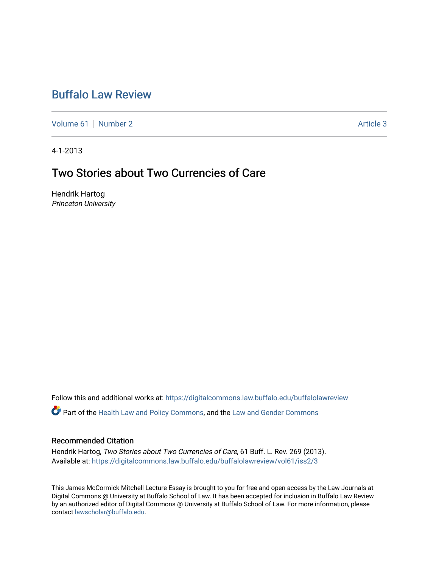# [Buffalo Law Review](https://digitalcommons.law.buffalo.edu/buffalolawreview)

[Volume 61](https://digitalcommons.law.buffalo.edu/buffalolawreview/vol61) | [Number 2](https://digitalcommons.law.buffalo.edu/buffalolawreview/vol61/iss2) Article 3

4-1-2013

## Two Stories about Two Currencies of Care

Hendrik Hartog Princeton University

Follow this and additional works at: [https://digitalcommons.law.buffalo.edu/buffalolawreview](https://digitalcommons.law.buffalo.edu/buffalolawreview?utm_source=digitalcommons.law.buffalo.edu%2Fbuffalolawreview%2Fvol61%2Fiss2%2F3&utm_medium=PDF&utm_campaign=PDFCoverPages) 

Part of the [Health Law and Policy Commons](http://network.bepress.com/hgg/discipline/901?utm_source=digitalcommons.law.buffalo.edu%2Fbuffalolawreview%2Fvol61%2Fiss2%2F3&utm_medium=PDF&utm_campaign=PDFCoverPages), and the [Law and Gender Commons](http://network.bepress.com/hgg/discipline/1298?utm_source=digitalcommons.law.buffalo.edu%2Fbuffalolawreview%2Fvol61%2Fiss2%2F3&utm_medium=PDF&utm_campaign=PDFCoverPages) 

#### Recommended Citation

Hendrik Hartog, Two Stories about Two Currencies of Care, 61 Buff. L. Rev. 269 (2013). Available at: [https://digitalcommons.law.buffalo.edu/buffalolawreview/vol61/iss2/3](https://digitalcommons.law.buffalo.edu/buffalolawreview/vol61/iss2/3?utm_source=digitalcommons.law.buffalo.edu%2Fbuffalolawreview%2Fvol61%2Fiss2%2F3&utm_medium=PDF&utm_campaign=PDFCoverPages) 

This James McCormick Mitchell Lecture Essay is brought to you for free and open access by the Law Journals at Digital Commons @ University at Buffalo School of Law. It has been accepted for inclusion in Buffalo Law Review by an authorized editor of Digital Commons @ University at Buffalo School of Law. For more information, please contact [lawscholar@buffalo.edu.](mailto:lawscholar@buffalo.edu)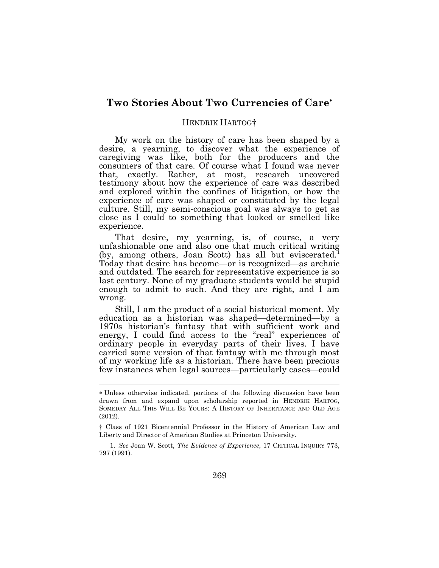### **Two Stories About Two Currencies of Care**

#### HENDRIK HARTOG†

My work on the history of care has been shaped by a desire, a yearning, to discover what the experience of caregiving was like, both for the producers and the consumers of that care. Of course what I found was never that, exactly. Rather, at most, research uncovered testimony about how the experience of care was described and explored within the confines of litigation, or how the experience of care was shaped or constituted by the legal culture. Still, my semi-conscious goal was always to get as close as I could to something that looked or smelled like experience.

That desire, my yearning, is, of course, a very unfashionable one and also one that much critical writing (by, among others, Joan Scott) has all but eviscerated.<sup>1</sup> Today that desire has become—or is recognized—as archaic and outdated. The search for representative experience is so last century. None of my graduate students would be stupid enough to admit to such. And they are right, and I am wrong.

Still, I am the product of a social historical moment. My education as a historian was shaped—determined—by a 1970s historian's fantasy that with sufficient work and energy, I could find access to the "real" experiences of ordinary people in everyday parts of their lives. I have carried some version of that fantasy with me through most of my working life as a historian. There have been precious few instances when legal sources—particularly cases—could

1. *See* Joan W. Scott, *The Evidence of Experience*, 17 CRITICAL INQUIRY 773, 797 (1991).

Unless otherwise indicated, portions of the following discussion have been drawn from and expand upon scholarship reported in HENDRIK HARTOG, SOMEDAY ALL THIS WILL BE YOURS: A HISTORY OF INHERITANCE AND OLD AGE (2012).

<sup>†</sup> Class of 1921 Bicentennial Professor in the History of American Law and Liberty and Director of American Studies at Princeton University.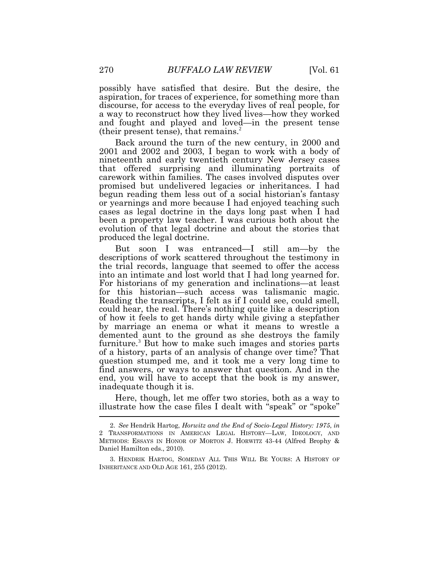possibly have satisfied that desire. But the desire, the aspiration, for traces of experience, for something more than discourse, for access to the everyday lives of real people, for a way to reconstruct how they lived lives—how they worked and fought and played and loved—in the present tense (their present tense), that remains. $^{2}$ 

Back around the turn of the new century, in 2000 and 2001 and 2002 and 2003, I began to work with a body of nineteenth and early twentieth century New Jersey cases that offered surprising and illuminating portraits of carework within families. The cases involved disputes over promised but undelivered legacies or inheritances. I had begun reading them less out of a social historian's fantasy or yearnings and more because I had enjoyed teaching such cases as legal doctrine in the days long past when I had been a property law teacher. I was curious both about the evolution of that legal doctrine and about the stories that produced the legal doctrine.

But soon I was entranced—I still am—by the descriptions of work scattered throughout the testimony in the trial records, language that seemed to offer the access into an intimate and lost world that I had long yearned for. For historians of my generation and inclinations—at least for this historian—such access was talismanic magic. Reading the transcripts, I felt as if I could see, could smell, could hear, the real. There's nothing quite like a description of how it feels to get hands dirty while giving a stepfather by marriage an enema or what it means to wrestle a demented aunt to the ground as she destroys the family furniture.<sup>3</sup> But how to make such images and stories parts of a history, parts of an analysis of change over time? That question stumped me, and it took me a very long time to find answers, or ways to answer that question. And in the end, you will have to accept that the book is my answer, inadequate though it is.

Here, though, let me offer two stories, both as a way to illustrate how the case files I dealt with "speak" or "spoke"

<sup>2.</sup> *See* Hendrik Hartog, *Horwitz and the End of Socio-Legal History: 1975*, *in* 2 TRANSFORMATIONS IN AMERICAN LEGAL HISTORY—LAW, IDEOLOGY, AND METHODS: ESSAYS IN HONOR OF MORTON J. HORWITZ 43-44 (Alfred Brophy & Daniel Hamilton eds., 2010).

<sup>3.</sup> HENDRIK HARTOG, SOMEDAY ALL THIS WILL BE YOURS: A HISTORY OF INHERITANCE AND OLD AGE 161, 255 (2012).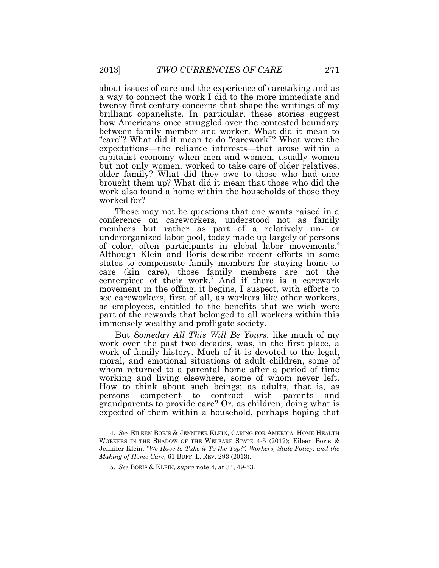about issues of care and the experience of caretaking and as a way to connect the work I did to the more immediate and twenty-first century concerns that shape the writings of my brilliant copanelists. In particular, these stories suggest how Americans once struggled over the contested boundary between family member and worker. What did it mean to "care"? What did it mean to do "carework"? What were the expectations—the reliance interests—that arose within a capitalist economy when men and women, usually women but not only women, worked to take care of older relatives, older family? What did they owe to those who had once brought them up? What did it mean that those who did the work also found a home within the households of those they worked for?

These may not be questions that one wants raised in a conference on careworkers, understood not as family members but rather as part of a relatively un- or underorganized labor pool, today made up largely of persons of color, often participants in global labor movements.<sup>4</sup> Although Klein and Boris describe recent efforts in some states to compensate family members for staying home to care (kin care), those family members are not the centerpiece of their work.<sup>5</sup> And if there is a carework movement in the offing, it begins, I suspect, with efforts to see careworkers, first of all, as workers like other workers, as employees, entitled to the benefits that we wish were part of the rewards that belonged to all workers within this immensely wealthy and profligate society.

But *Someday All This Will Be Yours*, like much of my work over the past two decades, was, in the first place, a work of family history. Much of it is devoted to the legal, moral, and emotional situations of adult children, some of whom returned to a parental home after a period of time working and living elsewhere, some of whom never left. How to think about such beings: as adults, that is, as persons competent to contract with parents and grandparents to provide care? Or, as children, doing what is expected of them within a household, perhaps hoping that

<sup>4.</sup> *See* EILEEN BORIS & JENNIFER KLEIN, CARING FOR AMERICA: HOME HEALTH WORKERS IN THE SHADOW OF THE WELFARE STATE 4-5 (2012); Eileen Boris & Jennifer Klein, *"We Have to Take it To the Top!": Workers, State Policy, and the Making of Home Care*, 61 BUFF. L. REV. 293 (2013).

<sup>5.</sup> *See* BORIS & KLEIN, *supra* note 4, at 34, 49-53.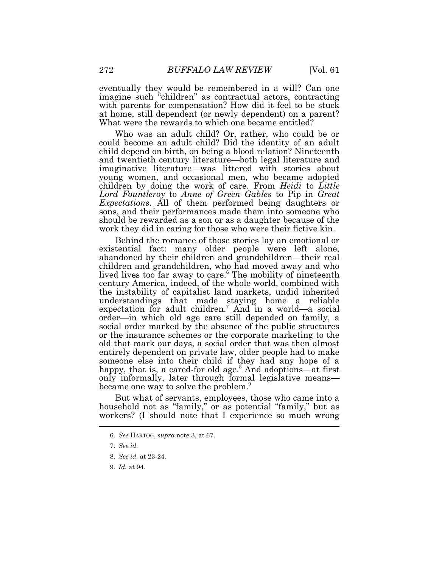eventually they would be remembered in a will? Can one imagine such "children" as contractual actors, contracting with parents for compensation? How did it feel to be stuck at home, still dependent (or newly dependent) on a parent? What were the rewards to which one became entitled?

Who was an adult child? Or, rather, who could be or could become an adult child? Did the identity of an adult child depend on birth, on being a blood relation? Nineteenth and twentieth century literature—both legal literature and imaginative literature—was littered with stories about young women, and occasional men, who became adopted children by doing the work of care. From *Heidi* to *Little Lord Fountleroy* to *Anne of Green Gables* to Pip in *Great Expectations*. All of them performed being daughters or sons, and their performances made them into someone who should be rewarded as a son or as a daughter because of the work they did in caring for those who were their fictive kin.

Behind the romance of those stories lay an emotional or existential fact: many older people were left alone, abandoned by their children and grandchildren—their real children and grandchildren, who had moved away and who lived lives too far away to care.<sup>6</sup> The mobility of nineteenth century America, indeed, of the whole world, combined with the instability of capitalist land markets, undid inherited understandings that made staying home a reliable expectation for adult children.<sup>7</sup> And in a world—a social order—in which old age care still depended on family, a social order marked by the absence of the public structures or the insurance schemes or the corporate marketing to the old that mark our days, a social order that was then almost entirely dependent on private law, older people had to make someone else into their child if they had any hope of a happy, that is, a cared-for old age.<sup>8</sup> And adoptions—at first only informally, later through formal legislative means became one way to solve the problem.<sup>9</sup>

But what of servants, employees, those who came into a household not as "family," or as potential "family," but as workers? (I should note that I experience so much wrong

<sup>6.</sup> *See* HARTOG, *supra* note 3, at 67.

<sup>7.</sup> *See id.*

<sup>8.</sup> *See id.* at 23-24.

<sup>9.</sup> *Id.* at 94.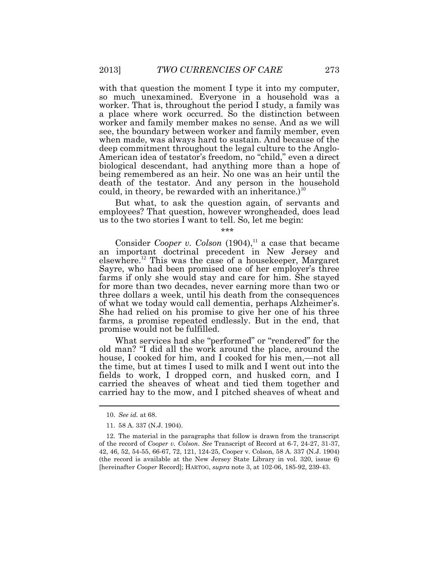with that question the moment I type it into my computer, so much unexamined. Everyone in a household was a worker. That is, throughout the period I study, a family was a place where work occurred. So the distinction between worker and family member makes no sense. And as we will see, the boundary between worker and family member, even when made, was always hard to sustain. And because of the deep commitment throughout the legal culture to the Anglo-American idea of testator's freedom, no "child," even a direct biological descendant, had anything more than a hope of being remembered as an heir. No one was an heir until the death of the testator. And any person in the household could, in theory, be rewarded with an inheritance.)<sup>10</sup>

But what, to ask the question again, of servants and employees? That question, however wrongheaded, does lead us to the two stories I want to tell. So, let me begin:

\*\*\*

Consider *Cooper v. Colson*  $(1904)$ ,<sup>11</sup> a case that became an important doctrinal precedent in New Jersey and elsewhere.<sup>12</sup> This was the case of a housekeeper, Margaret Sayre, who had been promised one of her employer's three farms if only she would stay and care for him. She stayed for more than two decades, never earning more than two or three dollars a week, until his death from the consequences of what we today would call dementia, perhaps Alzheimer's. She had relied on his promise to give her one of his three farms, a promise repeated endlessly. But in the end, that promise would not be fulfilled.

What services had she "performed" or "rendered" for the old man? "I did all the work around the place, around the house, I cooked for him, and I cooked for his men,—not all the time, but at times I used to milk and I went out into the fields to work, I dropped corn, and husked corn, and I carried the sheaves of wheat and tied them together and carried hay to the mow, and I pitched sheaves of wheat and

<sup>10.</sup> *See id.* at 68.

<sup>11.</sup> 58 A. 337 (N.J. 1904).

<sup>12.</sup> The material in the paragraphs that follow is drawn from the transcript of the record of *Cooper v. Colson*. *See* Transcript of Record at 6-7, 24-27, 31-37, 42, 46, 52, 54-55, 66-67, 72, 121, 124-25, Cooper v. Colson, 58 A. 337 (N.J. 1904) (the record is available at the New Jersey State Library in vol. 320, issue 6) [hereinafter *Cooper* Record]; HARTOG, *supra* note 3, at 102-06, 185-92, 239-43.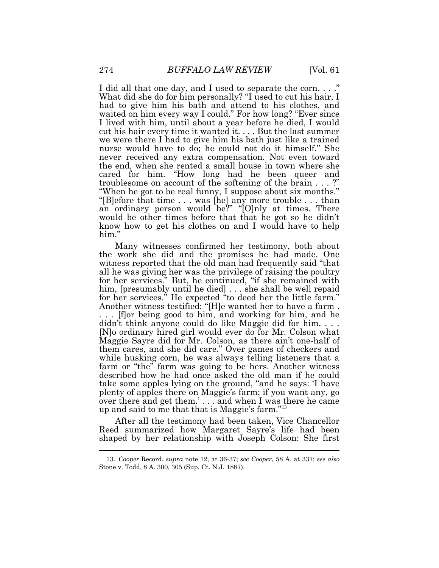I did all that one day, and I used to separate the corn...." What did she do for him personally? "I used to cut his hair, I had to give him his bath and attend to his clothes, and waited on him every way I could." For how long? "Ever since I lived with him, until about a year before he died, I would cut his hair every time it wanted it. . . . But the last summer we were there I had to give him his bath just like a trained nurse would have to do; he could not do it himself." She never received any extra compensation. Not even toward the end, when she rented a small house in town where she cared for him. "How long had he been queer and troublesome on account of the softening of the brain . . . ?" "When he got to be real funny, I suppose about six months." "[B]efore that time . . . was [he] any more trouble . . . than an ordinary person would be?" " $[O]$ nly at times. There would be other times before that that he got so he didn't know how to get his clothes on and I would have to help him."

Many witnesses confirmed her testimony, both about the work she did and the promises he had made. One witness reported that the old man had frequently said "that all he was giving her was the privilege of raising the poultry for her services." But, he continued, "if she remained with him, [presumably until he died] . . . she shall be well repaid for her services." He expected "to deed her the little farm." Another witness testified: "[H]e wanted her to have a farm . . . . [f]or being good to him, and working for him, and he didn't think anyone could do like Maggie did for him. . . . [N]o ordinary hired girl would ever do for Mr. Colson what Maggie Sayre did for Mr. Colson, as there ain't one-half of them cares, and she did care." Over games of checkers and while husking corn, he was always telling listeners that a farm or "the" farm was going to be hers. Another witness described how he had once asked the old man if he could take some apples lying on the ground, "and he says: 'I have plenty of apples there on Maggie's farm; if you want any, go over there and get them.' . . . and when I was there he came up and said to me that that is Maggie's farm."<sup>13</sup>

After all the testimony had been taken, Vice Chancellor Reed summarized how Margaret Sayre's life had been shaped by her relationship with Joseph Colson: She first

<sup>13.</sup> *Cooper* Record, *supra* note 12, at 36-37; *see Cooper*, 58 A. at 337; *see also* Stone v. Todd, 8 A. 300, 305 (Sup. Ct. N.J. 1887).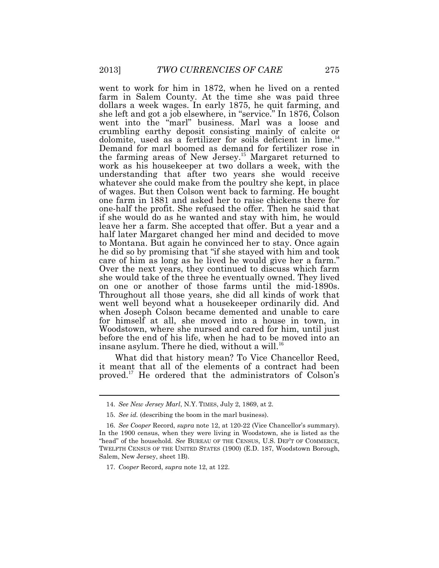went to work for him in 1872, when he lived on a rented farm in Salem County. At the time she was paid three dollars a week wages. In early 1875, he quit farming, and she left and got a job elsewhere, in "service." In 1876, Colson went into the "marl" business. Marl was a loose and crumbling earthy deposit consisting mainly of calcite or dolomite, used as a fertilizer for soils deficient in lime.<sup>14</sup> Demand for marl boomed as demand for fertilizer rose in the farming areas of New Jersey.<sup>15</sup> Margaret returned to work as his housekeeper at two dollars a week, with the understanding that after two years she would receive whatever she could make from the poultry she kept, in place of wages. But then Colson went back to farming. He bought one farm in 1881 and asked her to raise chickens there for one-half the profit. She refused the offer. Then he said that if she would do as he wanted and stay with him, he would leave her a farm. She accepted that offer. But a year and a half later Margaret changed her mind and decided to move to Montana. But again he convinced her to stay. Once again he did so by promising that "if she stayed with him and took care of him as long as he lived he would give her a farm." Over the next years, they continued to discuss which farm she would take of the three he eventually owned. They lived on one or another of those farms until the mid-1890s. Throughout all those years, she did all kinds of work that went well beyond what a housekeeper ordinarily did. And when Joseph Colson became demented and unable to care for himself at all, she moved into a house in town, in Woodstown, where she nursed and cared for him, until just before the end of his life, when he had to be moved into an insane asylum. There he died, without a will.<sup>16</sup>

What did that history mean? To Vice Chancellor Reed, it meant that all of the elements of a contract had been proved. <sup>17</sup> He ordered that the administrators of Colson's

<sup>14.</sup> *See New Jersey Marl*, N.Y. TIMES, July 2, 1869, at 2.

<sup>15.</sup> *See id.* (describing the boom in the marl business).

<sup>16.</sup> *See Cooper* Record, *supra* note 12, at 120-22 (Vice Chancellor's summary). In the 1900 census, when they were living in Woodstown, she is listed as the "head" of the household. *See* BUREAU OF THE CENSUS, U.S. DEP'T OF COMMERCE, TWELFTH CENSUS OF THE UNITED STATES (1900) (E.D. 187, Woodstown Borough, Salem, New Jersey, sheet 1B).

<sup>17.</sup> *Cooper* Record, *supra* note 12, at 122.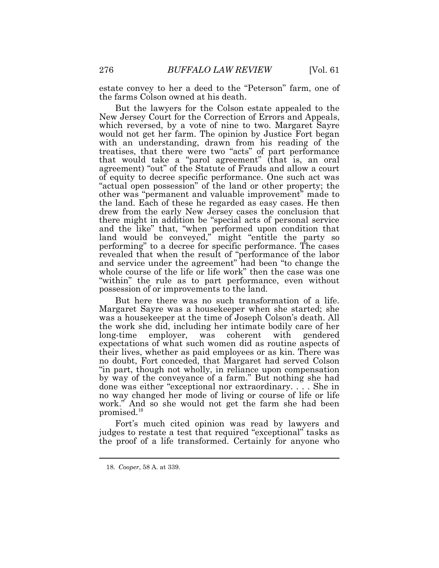estate convey to her a deed to the "Peterson" farm, one of the farms Colson owned at his death.

But the lawyers for the Colson estate appealed to the New Jersey Court for the Correction of Errors and Appeals, which reversed, by a vote of nine to two. Margaret Sayre would not get her farm. The opinion by Justice Fort began with an understanding, drawn from his reading of the treatises, that there were two "acts" of part performance that would take a "parol agreement" (that is, an oral agreement) "out" of the Statute of Frauds and allow a court of equity to decree specific performance. One such act was "actual open possession" of the land or other property; the other was "permanent and valuable improvement" made to the land. Each of these he regarded as easy cases. He then drew from the early New Jersey cases the conclusion that there might in addition be "special acts of personal service and the like" that, "when performed upon condition that land would be conveyed," might "entitle the party so performing" to a decree for specific performance. The cases revealed that when the result of "performance of the labor and service under the agreement" had been "to change the whole course of the life or life work" then the case was one "within" the rule as to part performance, even without possession of or improvements to the land.

But here there was no such transformation of a life. Margaret Sayre was a housekeeper when she started; she was a housekeeper at the time of Joseph Colson's death. All the work she did, including her intimate bodily care of her long-time employer, was coherent with gendered expectations of what such women did as routine aspects of their lives, whether as paid employees or as kin. There was no doubt, Fort conceded, that Margaret had served Colson "in part, though not wholly, in reliance upon compensation by way of the conveyance of a farm." But nothing she had done was either "exceptional nor extraordinary. . . . She in no way changed her mode of living or course of life or life work." And so she would not get the farm she had been promised.<sup>18</sup>

Fort's much cited opinion was read by lawyers and judges to restate a test that required "exceptional" tasks as the proof of a life transformed. Certainly for anyone who

<sup>18.</sup> *Cooper*, 58 A. at 339.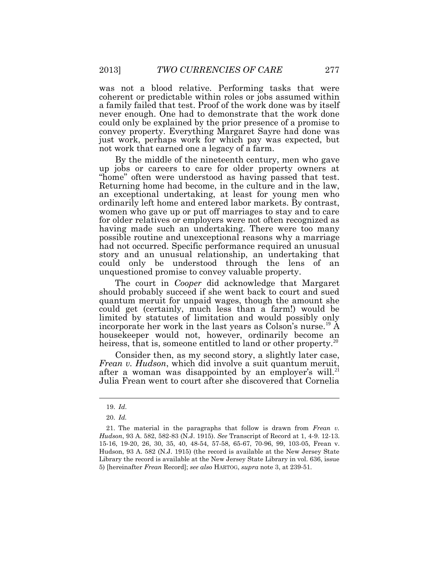was not a blood relative. Performing tasks that were coherent or predictable within roles or jobs assumed within a family failed that test. Proof of the work done was by itself never enough. One had to demonstrate that the work done could only be explained by the prior presence of a promise to convey property. Everything Margaret Sayre had done was just work, perhaps work for which pay was expected, but not work that earned one a legacy of a farm.

By the middle of the nineteenth century, men who gave up jobs or careers to care for older property owners at "home" often were understood as having passed that test. Returning home had become, in the culture and in the law, an exceptional undertaking, at least for young men who ordinarily left home and entered labor markets. By contrast, women who gave up or put off marriages to stay and to care for older relatives or employers were not often recognized as having made such an undertaking. There were too many possible routine and unexceptional reasons why a marriage had not occurred. Specific performance required an unusual story and an unusual relationship, an undertaking that could only be understood through the lens of an unquestioned promise to convey valuable property.

The court in *Cooper* did acknowledge that Margaret should probably succeed if she went back to court and sued quantum meruit for unpaid wages, though the amount she could get (certainly, much less than a farm!) would be limited by statutes of limitation and would possibly only incorporate her work in the last years as Colson's nurse.<sup>19</sup> A housekeeper would not, however, ordinarily become an heiress, that is, someone entitled to land or other property.<sup>20</sup>

Consider then, as my second story, a slightly later case, *Frean v. Hudson*, which did involve a suit quantum meruit, after a woman was disappointed by an employer's will.<sup>21</sup> Julia Frean went to court after she discovered that Cornelia

<sup>19.</sup> *Id*.

<sup>20.</sup> *Id.*

<sup>21.</sup> The material in the paragraphs that follow is drawn from *Frean v. Hudson*, 93 A. 582, 582-83 (N.J. 1915). *See* Transcript of Record at 1, 4-9. 12-13. 15-16, 19-20, 26, 30, 35, 40, 48-54, 57-58, 65-67, 70-96, 99, 103-05, Frean v. Hudson, 93 A. 582 (N.J. 1915) (the record is available at the New Jersey State Library the record is available at the New Jersey State Library in vol. 636, issue 5) [hereinafter *Frean* Record]; *see also* HARTOG, *supra* note 3, at 239-51.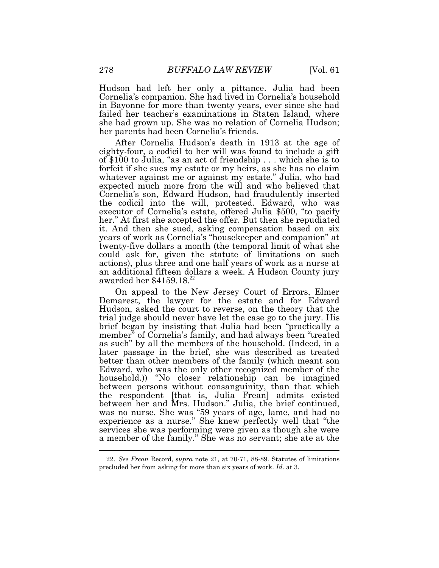Hudson had left her only a pittance. Julia had been Cornelia's companion. She had lived in Cornelia's household in Bayonne for more than twenty years, ever since she had failed her teacher's examinations in Staten Island, where she had grown up. She was no relation of Cornelia Hudson; her parents had been Cornelia's friends.

After Cornelia Hudson's death in 1913 at the age of eighty-four, a codicil to her will was found to include a gift of \$100 to Julia, "as an act of friendship . . . which she is to forfeit if she sues my estate or my heirs, as she has no claim whatever against me or against my estate." Julia, who had expected much more from the will and who believed that Cornelia's son, Edward Hudson, had fraudulently inserted the codicil into the will, protested. Edward, who was executor of Cornelia's estate, offered Julia \$500, "to pacify her." At first she accepted the offer. But then she repudiated it. And then she sued, asking compensation based on six years of work as Cornelia's "housekeeper and companion" at twenty-five dollars a month (the temporal limit of what she could ask for, given the statute of limitations on such actions), plus three and one half years of work as a nurse at an additional fifteen dollars a week. A Hudson County jury awarded her \$4159.18. 22

On appeal to the New Jersey Court of Errors, Elmer Demarest, the lawyer for the estate and for Edward Hudson, asked the court to reverse, on the theory that the trial judge should never have let the case go to the jury. His brief began by insisting that Julia had been "practically a member" of Cornelia's family, and had always been "treated as such" by all the members of the household. (Indeed, in a later passage in the brief, she was described as treated better than other members of the family (which meant son Edward, who was the only other recognized member of the household.)) "No closer relationship can be imagined between persons without consanguinity, than that which the respondent [that is, Julia Frean] admits existed between her and Mrs. Hudson." Julia, the brief continued, was no nurse. She was "59 years of age, lame, and had no experience as a nurse." She knew perfectly well that "the services she was performing were given as though she were a member of the family." She was no servant; she ate at the

<sup>22.</sup> *See Frean* Record, *supra* note 21, at 70-71, 88-89. Statutes of limitations precluded her from asking for more than six years of work. *Id.* at 3.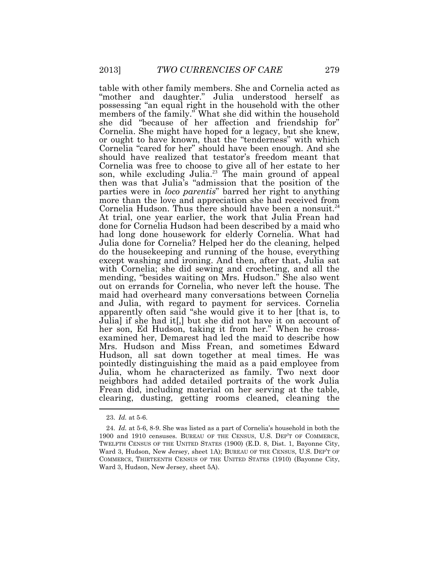table with other family members. She and Cornelia acted as "mother and daughter." Julia understood herself as possessing "an equal right in the household with the other members of the family." What she did within the household she did "because of her affection and friendship for" Cornelia. She might have hoped for a legacy, but she knew, or ought to have known, that the "tenderness" with which Cornelia "cared for her" should have been enough. And she should have realized that testator's freedom meant that Cornelia was free to choose to give all of her estate to her son, while excluding Julia.<sup>23</sup> The main ground of appeal then was that Julia's "admission that the position of the parties were in *loco parentis*" barred her right to anything more than the love and appreciation she had received from Cornelia Hudson. Thus there should have been a nonsuit.<sup>24</sup> At trial, one year earlier, the work that Julia Frean had done for Cornelia Hudson had been described by a maid who had long done housework for elderly Cornelia. What had Julia done for Cornelia? Helped her do the cleaning, helped do the housekeeping and running of the house, everything except washing and ironing. And then, after that, Julia sat with Cornelia; she did sewing and crocheting, and all the mending, "besides waiting on Mrs. Hudson." She also went out on errands for Cornelia, who never left the house. The maid had overheard many conversations between Cornelia and Julia, with regard to payment for services. Cornelia apparently often said "she would give it to her [that is, to Julia] if she had it[,] but she did not have it on account of her son, Ed Hudson, taking it from her." When he crossexamined her, Demarest had led the maid to describe how Mrs. Hudson and Miss Frean, and sometimes Edward Hudson, all sat down together at meal times. He was pointedly distinguishing the maid as a paid employee from Julia, whom he characterized as family. Two next door neighbors had added detailed portraits of the work Julia Frean did, including material on her serving at the table, clearing, dusting, getting rooms cleaned, cleaning the

<sup>23.</sup> *Id.* at 5-6.

<sup>24.</sup> *Id.* at 5-6, 8-9. She was listed as a part of Cornelia's household in both the 1900 and 1910 censuses. BUREAU OF THE CENSUS, U.S. DEP'T OF COMMERCE, TWELFTH CENSUS OF THE UNITED STATES (1900) (E.D. 8, Dist. 1, Bayonne City, Ward 3, Hudson, New Jersey, sheet 1A); BUREAU OF THE CENSUS, U.S. DEP'T OF COMMERCE, THIRTEENTH CENSUS OF THE UNITED STATES (1910) (Bayonne City, Ward 3, Hudson, New Jersey, sheet 5A).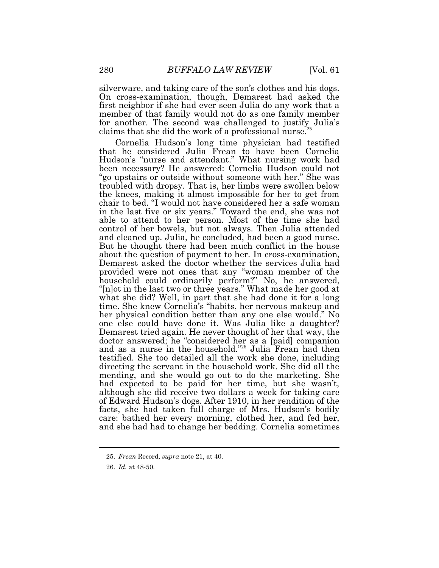silverware, and taking care of the son's clothes and his dogs. On cross-examination, though, Demarest had asked the first neighbor if she had ever seen Julia do any work that a member of that family would not do as one family member for another. The second was challenged to justify Julia's claims that she did the work of a professional nurse.<sup>25</sup>

Cornelia Hudson's long time physician had testified that he considered Julia Frean to have been Cornelia Hudson's "nurse and attendant." What nursing work had been necessary? He answered: Cornelia Hudson could not "go upstairs or outside without someone with her." She was troubled with dropsy. That is, her limbs were swollen below the knees, making it almost impossible for her to get from chair to bed. "I would not have considered her a safe woman in the last five or six years." Toward the end, she was not able to attend to her person. Most of the time she had control of her bowels, but not always. Then Julia attended and cleaned up. Julia, he concluded, had been a good nurse. But he thought there had been much conflict in the house about the question of payment to her. In cross-examination, Demarest asked the doctor whether the services Julia had provided were not ones that any "woman member of the household could ordinarily perform?" No, he answered, "[n]ot in the last two or three years." What made her good at what she did? Well, in part that she had done it for a long time. She knew Cornelia's "habits, her nervous makeup and her physical condition better than any one else would." No one else could have done it. Was Julia like a daughter? Demarest tried again. He never thought of her that way, the doctor answered; he "considered her as a [paid] companion and as a nurse in the household." <sup>26</sup> Julia Frean had then testified. She too detailed all the work she done, including directing the servant in the household work. She did all the mending, and she would go out to do the marketing. She had expected to be paid for her time, but she wasn't, although she did receive two dollars a week for taking care of Edward Hudson's dogs. After 1910, in her rendition of the facts, she had taken full charge of Mrs. Hudson's bodily care: bathed her every morning, clothed her, and fed her, and she had had to change her bedding. Cornelia sometimes

<sup>25.</sup> *Frean* Record, *supra* note 21, at 40.

<sup>26.</sup> *Id.* at 48-50.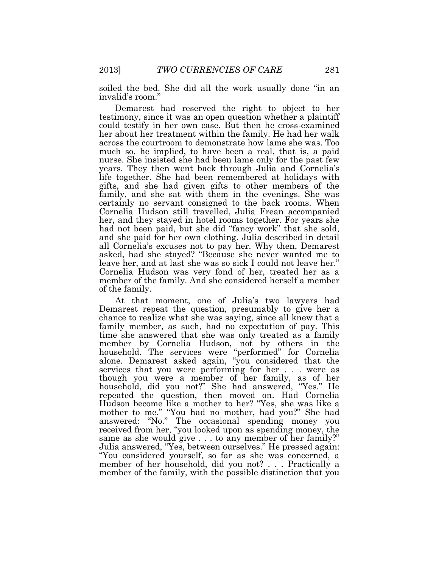soiled the bed. She did all the work usually done "in an invalid's room."

Demarest had reserved the right to object to her testimony, since it was an open question whether a plaintiff could testify in her own case. But then he cross-examined her about her treatment within the family. He had her walk across the courtroom to demonstrate how lame she was. Too much so, he implied, to have been a real, that is, a paid nurse. She insisted she had been lame only for the past few years. They then went back through Julia and Cornelia's life together. She had been remembered at holidays with gifts, and she had given gifts to other members of the family, and she sat with them in the evenings. She was certainly no servant consigned to the back rooms. When Cornelia Hudson still travelled, Julia Frean accompanied her, and they stayed in hotel rooms together. For years she had not been paid, but she did "fancy work" that she sold, and she paid for her own clothing. Julia described in detail all Cornelia's excuses not to pay her. Why then, Demarest asked, had she stayed? "Because she never wanted me to leave her, and at last she was so sick I could not leave her." Cornelia Hudson was very fond of her, treated her as a member of the family. And she considered herself a member of the family.

At that moment, one of Julia's two lawyers had Demarest repeat the question, presumably to give her a chance to realize what she was saying, since all knew that a family member, as such, had no expectation of pay. This time she answered that she was only treated as a family member by Cornelia Hudson, not by others in the household. The services were "performed" for Cornelia alone. Demarest asked again, "you considered that the services that you were performing for her . . . were as though you were a member of her family, as of her household, did you not?" She had answered, "Yes." He repeated the question, then moved on. Had Cornelia Hudson become like a mother to her? "Yes, she was like a mother to me." "You had no mother, had you?" She had answered: "No." The occasional spending money you received from her, "you looked upon as spending money, the same as she would give . . . to any member of her family?" Julia answered, "Yes, between ourselves." He pressed again: "You considered yourself, so far as she was concerned, a member of her household, did you not? . . . Practically a member of the family, with the possible distinction that you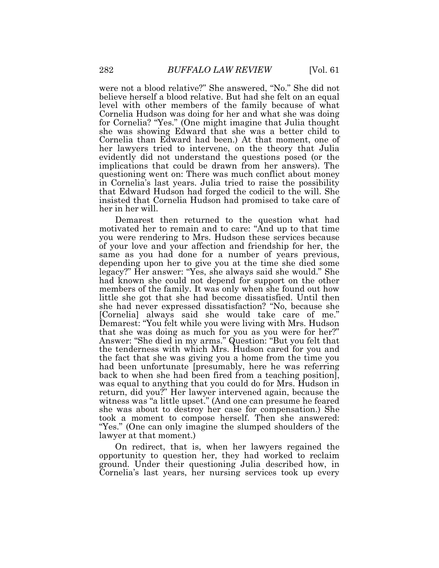were not a blood relative?" She answered, "No." She did not believe herself a blood relative. But had she felt on an equal level with other members of the family because of what Cornelia Hudson was doing for her and what she was doing for Cornelia? "Yes." (One might imagine that Julia thought she was showing Edward that she was a better child to Cornelia than Edward had been.) At that moment, one of her lawyers tried to intervene, on the theory that Julia evidently did not understand the questions posed (or the implications that could be drawn from her answers). The questioning went on: There was much conflict about money in Cornelia's last years. Julia tried to raise the possibility that Edward Hudson had forged the codicil to the will. She insisted that Cornelia Hudson had promised to take care of her in her will.

Demarest then returned to the question what had motivated her to remain and to care: "And up to that time you were rendering to Mrs. Hudson these services because of your love and your affection and friendship for her, the same as you had done for a number of years previous, depending upon her to give you at the time she died some legacy?" Her answer: "Yes, she always said she would." She had known she could not depend for support on the other members of the family. It was only when she found out how little she got that she had become dissatisfied. Until then she had never expressed dissatisfaction? "No, because she [Cornelia] always said she would take care of me." Demarest: "You felt while you were living with Mrs. Hudson that she was doing as much for you as you were for her?" Answer: "She died in my arms." Question: "But you felt that the tenderness with which Mrs. Hudson cared for you and the fact that she was giving you a home from the time you had been unfortunate [presumably, here he was referring back to when she had been fired from a teaching position], was equal to anything that you could do for Mrs. Hudson in return, did you?" Her lawyer intervened again, because the witness was "a little upset." (And one can presume he feared she was about to destroy her case for compensation.) She took a moment to compose herself. Then she answered: "Yes." (One can only imagine the slumped shoulders of the lawyer at that moment.)

On redirect, that is, when her lawyers regained the opportunity to question her, they had worked to reclaim ground. Under their questioning Julia described how, in Cornelia's last years, her nursing services took up every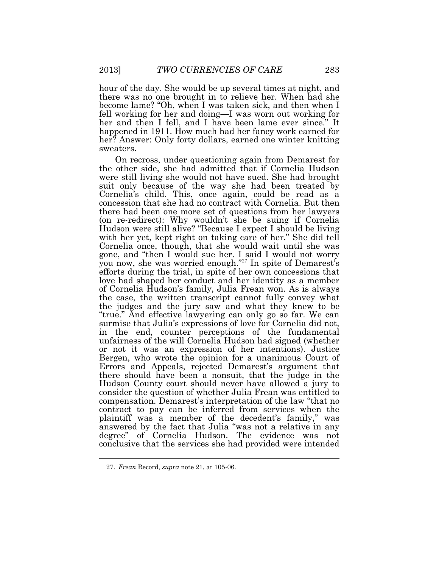hour of the day. She would be up several times at night, and there was no one brought in to relieve her. When had she become lame? "Oh, when I was taken sick, and then when I fell working for her and doing—I was worn out working for her and then I fell, and I have been lame ever since." It happened in 1911. How much had her fancy work earned for her? Answer: Only forty dollars, earned one winter knitting sweaters.

On recross, under questioning again from Demarest for the other side, she had admitted that if Cornelia Hudson were still living she would not have sued. She had brought suit only because of the way she had been treated by Cornelia's child. This, once again, could be read as a concession that she had no contract with Cornelia. But then there had been one more set of questions from her lawyers (on re-redirect): Why wouldn't she be suing if Cornelia Hudson were still alive? "Because I expect I should be living with her yet, kept right on taking care of her." She did tell Cornelia once, though, that she would wait until she was gone, and "then I would sue her. I said I would not worry you now, she was worried enough."<sup>27</sup> In spite of Demarest's efforts during the trial, in spite of her own concessions that love had shaped her conduct and her identity as a member of Cornelia Hudson's family, Julia Frean won. As is always the case, the written transcript cannot fully convey what the judges and the jury saw and what they knew to be "true." And effective lawyering can only go so far. We can surmise that Julia's expressions of love for Cornelia did not, in the end, counter perceptions of the fundamental unfairness of the will Cornelia Hudson had signed (whether or not it was an expression of her intentions). Justice Bergen, who wrote the opinion for a unanimous Court of Errors and Appeals, rejected Demarest's argument that there should have been a nonsuit, that the judge in the Hudson County court should never have allowed a jury to consider the question of whether Julia Frean was entitled to compensation. Demarest's interpretation of the law "that no contract to pay can be inferred from services when the plaintiff was a member of the decedent's family," was answered by the fact that Julia "was not a relative in any degree" of Cornelia Hudson. The evidence was not conclusive that the services she had provided were intended

<sup>27.</sup> *Frean* Record, *supra* note 21, at 105-06.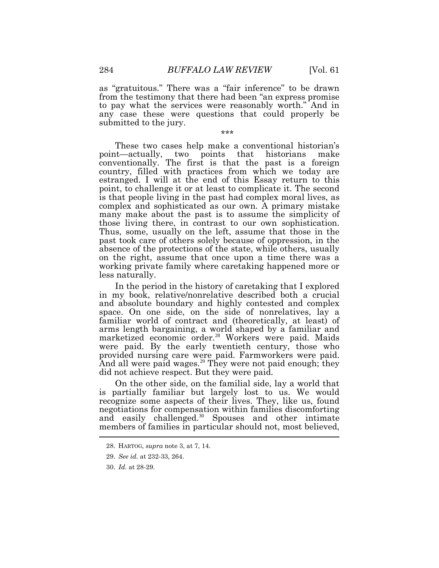as "gratuitous." There was a "fair inference" to be drawn from the testimony that there had been "an express promise to pay what the services were reasonably worth." And in any case these were questions that could properly be submitted to the jury.

\*\*\*

These two cases help make a conventional historian's point—actually, two points that historians make conventionally. The first is that the past is a foreign country, filled with practices from which we today are estranged. I will at the end of this Essay return to this point, to challenge it or at least to complicate it. The second is that people living in the past had complex moral lives, as complex and sophisticated as our own. A primary mistake many make about the past is to assume the simplicity of those living there, in contrast to our own sophistication. Thus, some, usually on the left, assume that those in the past took care of others solely because of oppression, in the absence of the protections of the state, while others, usually on the right, assume that once upon a time there was a working private family where caretaking happened more or less naturally.

In the period in the history of caretaking that I explored in my book, relative/nonrelative described both a crucial and absolute boundary and highly contested and complex space. On one side, on the side of nonrelatives, lay a familiar world of contract and (theoretically, at least) of arms length bargaining, a world shaped by a familiar and marketized economic order.<sup>28</sup> Workers were paid. Maids were paid. By the early twentieth century, those who provided nursing care were paid. Farmworkers were paid. And all were paid wages.<sup>29</sup> They were not paid enough; they did not achieve respect. But they were paid.

On the other side, on the familial side, lay a world that is partially familiar but largely lost to us. We would recognize some aspects of their lives. They, like us, found negotiations for compensation within families discomforting and easily challenged.<sup>30</sup> Spouses and other intimate members of families in particular should not, most believed,

<sup>28.</sup> HARTOG, *supra* note 3, at 7, 14.

<sup>29.</sup> *See id.* at 232-33, 264.

<sup>30.</sup> *Id.* at 28-29.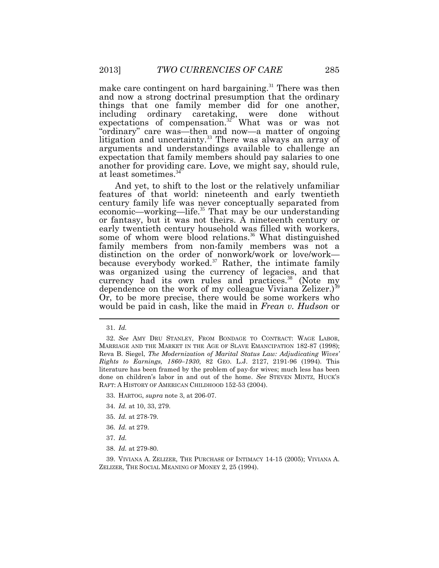make care contingent on hard bargaining.<sup>31</sup> There was then and now a strong doctrinal presumption that the ordinary things that one family member did for one another, including ordinary caretaking, were done without expectations of compensation.<sup>32</sup> What was or was not "ordinary" care was—then and now—a matter of ongoing litigation and uncertainty.<sup>33</sup> There was always an array of arguments and understandings available to challenge an expectation that family members should pay salaries to one another for providing care. Love, we might say, should rule, at least sometimes.<sup>34</sup>

And yet, to shift to the lost or the relatively unfamiliar features of that world: nineteenth and early twentieth century family life was never conceptually separated from economic—working—life.<sup>35</sup> That may be our understanding or fantasy, but it was not theirs. A nineteenth century or early twentieth century household was filled with workers, some of whom were blood relations.<sup>36</sup> What distinguished family members from non-family members was not a distinction on the order of nonwork/work or love/work because everybody worked. $37$  Rather, the intimate family was organized using the currency of legacies, and that currency had its own rules and practices.<sup>38</sup> (Note my dependence on the work of my colleague Viviana Zelizer.)<sup>39</sup> Or, to be more precise, there would be some workers who would be paid in cash, like the maid in *Frean v. Hudson* or

- 33. HARTOG, *supra* note 3, at 206-07.
- 34. *Id.* at 10, 33, 279.
- 35. *Id.* at 278-79.
- 36. *Id.* at 279.
- 37. *Id.*
- 38. *Id.* at 279-80.

39. VIVIANA A. ZELIZER, THE PURCHASE OF INTIMACY 14-15 (2005); VIVIANA A. ZELIZER, THE SOCIAL MEANING OF MONEY 2, 25 (1994).

<sup>31.</sup> *Id.*

<sup>32.</sup> *See* AMY DRU STANLEY, FROM BONDAGE TO CONTRACT: WAGE LABOR, MARRIAGE AND THE MARKET IN THE AGE OF SLAVE EMANCIPATION 182-87 (1998); Reva B. Siegel, *The Modernization of Marital Status Law: Adjudicating Wives' Rights to Earnings, 1860–1930*, 82 GEO. L.J. 2127, 2191-96 (1994). This literature has been framed by the problem of pay-for wives; much less has been done on children's labor in and out of the home. *See* STEVEN MINTZ, HUCK'S RAFT: A HISTORY OF AMERICAN CHILDHOOD 152-53 (2004).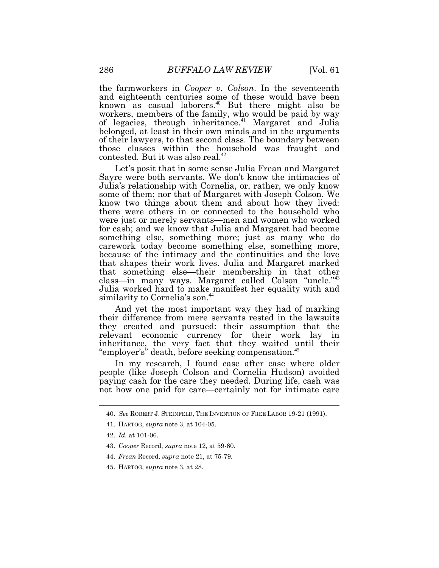the farmworkers in *Cooper v. Colson*. In the seventeenth and eighteenth centuries some of these would have been known as casual laborers.<sup>40</sup> But there might also be workers, members of the family, who would be paid by way of legacies, through inheritance.<sup>41</sup> Margaret and Julia belonged, at least in their own minds and in the arguments of their lawyers, to that second class. The boundary between those classes within the household was fraught and contested. But it was also real.<sup>42</sup>

Let's posit that in some sense Julia Frean and Margaret Sayre were both servants. We don't know the intimacies of Julia's relationship with Cornelia, or, rather, we only know some of them; nor that of Margaret with Joseph Colson. We know two things about them and about how they lived: there were others in or connected to the household who were just or merely servants—men and women who worked for cash; and we know that Julia and Margaret had become something else, something more; just as many who do carework today become something else, something more, because of the intimacy and the continuities and the love that shapes their work lives. Julia and Margaret marked that something else—their membership in that other class—in many ways. Margaret called Colson "uncle."<sup>43</sup> Julia worked hard to make manifest her equality with and similarity to Cornelia's son.<sup>44</sup>

And yet the most important way they had of marking their difference from mere servants rested in the lawsuits they created and pursued: their assumption that the relevant economic currency for their work lay in inheritance, the very fact that they waited until their "employer's" death, before seeking compensation.<sup>45</sup>

In my research, I found case after case where older people (like Joseph Colson and Cornelia Hudson) avoided paying cash for the care they needed. During life, cash was not how one paid for care—certainly not for intimate care

- 44. *Frean* Record, *supra* note 21, at 75-79.
- 45. HARTOG, *supra* note 3, at 28.

<sup>40.</sup> *See* ROBERT J. STEINFELD, THE INVENTION OF FREE LABOR 19-21 (1991).

<sup>41.</sup> HARTOG, *supra* note 3, at 104-05.

<sup>42.</sup> *Id.* at 101-06.

<sup>43.</sup> *Cooper* Record, *supra* note 12, at 59-60.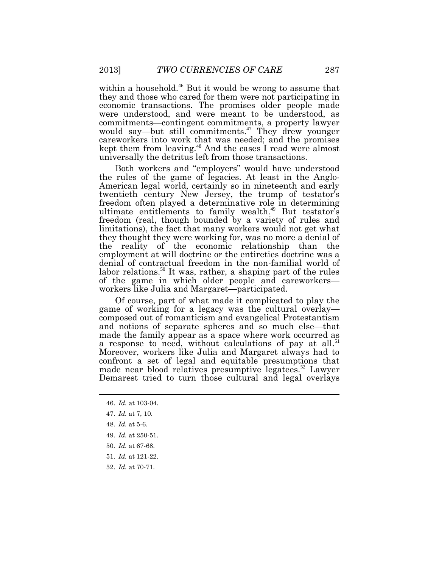within a household.<sup>46</sup> But it would be wrong to assume that they and those who cared for them were not participating in economic transactions. The promises older people made were understood, and were meant to be understood, as commitments—contingent commitments, a property lawyer would say—but still commitments.<sup>47</sup> They drew younger careworkers into work that was needed; and the promises kept them from leaving.<sup>48</sup> And the cases I read were almost universally the detritus left from those transactions.

Both workers and "employers" would have understood the rules of the game of legacies. At least in the Anglo-American legal world, certainly so in nineteenth and early twentieth century New Jersey, the trump of testator's freedom often played a determinative role in determining ultimate entitlements to family wealth.<sup>49</sup> But testator's freedom (real, though bounded by a variety of rules and limitations), the fact that many workers would not get what they thought they were working for, was no more a denial of the reality of the economic relationship than the employment at will doctrine or the entireties doctrine was a denial of contractual freedom in the non-familial world of labor relations.<sup>50</sup> It was, rather, a shaping part of the rules of the game in which older people and careworkers workers like Julia and Margaret—participated.

Of course, part of what made it complicated to play the game of working for a legacy was the cultural overlay composed out of romanticism and evangelical Protestantism and notions of separate spheres and so much else—that made the family appear as a space where work occurred as a response to need, without calculations of pay at all.<sup>51</sup> Moreover, workers like Julia and Margaret always had to confront a set of legal and equitable presumptions that made near blood relatives presumptive legatees.<sup>52</sup> Lawyer Demarest tried to turn those cultural and legal overlays

- 51. *Id.* at 121-22.
- 52. *Id.* at 70-71.

<sup>46.</sup> *Id.* at 103-04.

<sup>47.</sup> *Id.* at 7, 10.

<sup>48.</sup> *Id.* at 5-6.

<sup>49.</sup> *Id.* at 250-51.

<sup>50.</sup> *Id.* at 67-68.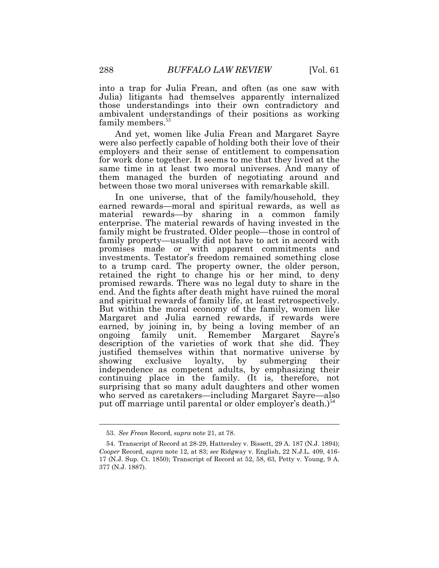into a trap for Julia Frean, and often (as one saw with Julia) litigants had themselves apparently internalized those understandings into their own contradictory and ambivalent understandings of their positions as working family members.<sup>53</sup>

And yet, women like Julia Frean and Margaret Sayre were also perfectly capable of holding both their love of their employers and their sense of entitlement to compensation for work done together. It seems to me that they lived at the same time in at least two moral universes. And many of them managed the burden of negotiating around and between those two moral universes with remarkable skill.

In one universe, that of the family/household, they earned rewards—moral and spiritual rewards, as well as material rewards—by sharing in a common family enterprise. The material rewards of having invested in the family might be frustrated. Older people—those in control of family property—usually did not have to act in accord with promises made or with apparent commitments and investments. Testator's freedom remained something close to a trump card. The property owner, the older person, retained the right to change his or her mind, to deny promised rewards. There was no legal duty to share in the end. And the fights after death might have ruined the moral and spiritual rewards of family life, at least retrospectively. But within the moral economy of the family, women like Margaret and Julia earned rewards, if rewards were earned, by joining in, by being a loving member of an ongoing family unit. Remember Margaret Sayre's description of the varieties of work that she did. They justified themselves within that normative universe by showing exclusive loyalty, by submerging their independence as competent adults, by emphasizing their continuing place in the family. (It is, therefore, not surprising that so many adult daughters and other women who served as caretakers—including Margaret Sayre—also put off marriage until parental or older employer's death.)<sup>54</sup>

<sup>53.</sup> *See Frean* Record, *supra* note 21, at 78.

<sup>54.</sup> Transcript of Record at 28-29, Hattersley v. Bissett, 29 A. 187 (N.J. 1894); *Cooper* Record, *supra* note 12, at 83; *see* Ridgway v. English, 22 N.J.L. 409, 416- 17 (N.J. Sup. Ct. 1850); Transcript of Record at 52, 58, 63, Petty v. Young, 9 A. 377 (N.J. 1887).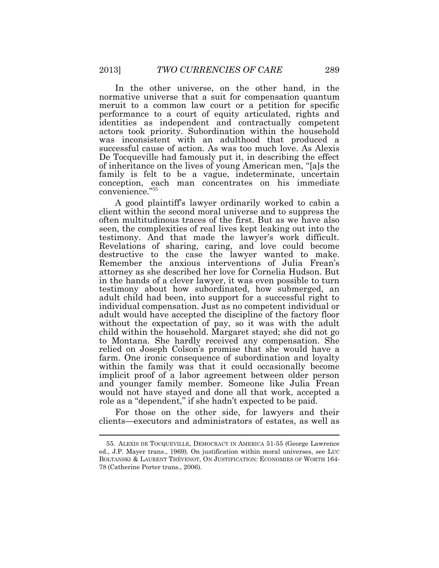In the other universe, on the other hand, in the normative universe that a suit for compensation quantum meruit to a common law court or a petition for specific performance to a court of equity articulated, rights and identities as independent and contractually competent actors took priority. Subordination within the household was inconsistent with an adulthood that produced a successful cause of action. As was too much love. As Alexis De Tocqueville had famously put it, in describing the effect of inheritance on the lives of young American men, "[a]s the family is felt to be a vague, indeterminate, uncertain conception, each man concentrates on his immediate convenience."<sup>55</sup>

A good plaintiff's lawyer ordinarily worked to cabin a client within the second moral universe and to suppress the often multitudinous traces of the first. But as we have also seen, the complexities of real lives kept leaking out into the testimony. And that made the lawyer's work difficult. Revelations of sharing, caring, and love could become destructive to the case the lawyer wanted to make. Remember the anxious interventions of Julia Frean's attorney as she described her love for Cornelia Hudson. But in the hands of a clever lawyer, it was even possible to turn testimony about how subordinated, how submerged, an adult child had been, into support for a successful right to individual compensation. Just as no competent individual or adult would have accepted the discipline of the factory floor without the expectation of pay, so it was with the adult child within the household. Margaret stayed; she did not go to Montana. She hardly received any compensation. She relied on Joseph Colson's promise that she would have a farm. One ironic consequence of subordination and loyalty within the family was that it could occasionally become implicit proof of a labor agreement between older person and younger family member. Someone like Julia Frean would not have stayed and done all that work, accepted a role as a "dependent," if she hadn't expected to be paid.

For those on the other side, for lawyers and their clients—executors and administrators of estates, as well as

<sup>55.</sup> ALEXIS DE TOCQUEVILLE, DEMOCRACY IN AMERICA 51-55 (George Lawrence ed., J.P. Mayer trans., 1969). On justification within moral universes, see LUC BOLTANSKI & LAURENT THÉVENOT, ON JUSTIFICATION: ECONOMIES OF WORTH 164- 78 (Catherine Porter trans., 2006).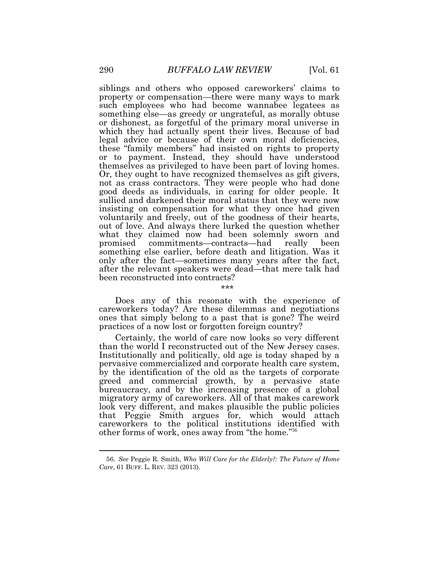siblings and others who opposed careworkers' claims to property or compensation—there were many ways to mark such employees who had become wannabee legatees as something else—as greedy or ungrateful, as morally obtuse or dishonest, as forgetful of the primary moral universe in which they had actually spent their lives. Because of bad legal advice or because of their own moral deficiencies, these "family members" had insisted on rights to property or to payment. Instead, they should have understood themselves as privileged to have been part of loving homes. Or, they ought to have recognized themselves as gift givers, not as crass contractors. They were people who had done good deeds as individuals, in caring for older people. It sullied and darkened their moral status that they were now insisting on compensation for what they once had given voluntarily and freely, out of the goodness of their hearts, out of love. And always there lurked the question whether what they claimed now had been solemnly sworn and promised commitments—contracts—had really been something else earlier, before death and litigation. Was it only after the fact—sometimes many years after the fact, after the relevant speakers were dead—that mere talk had been reconstructed into contracts?

Does any of this resonate with the experience of careworkers today? Are these dilemmas and negotiations ones that simply belong to a past that is gone? The weird practices of a now lost or forgotten foreign country?

میله میله میله

Certainly, the world of care now looks so very different than the world I reconstructed out of the New Jersey cases. Institutionally and politically, old age is today shaped by a pervasive commercialized and corporate health care system, by the identification of the old as the targets of corporate greed and commercial growth, by a pervasive state bureaucracy, and by the increasing presence of a global migratory army of careworkers. All of that makes carework look very different, and makes plausible the public policies that Peggie Smith argues for, which would attach careworkers to the political institutions identified with other forms of work, ones away from "the home."<sup>56</sup>

<sup>56.</sup> *See* Peggie R. Smith, *Who Will Care for the Elderly?: The Future of Home Care*, 61 BUFF. L. REV. 323 (2013).